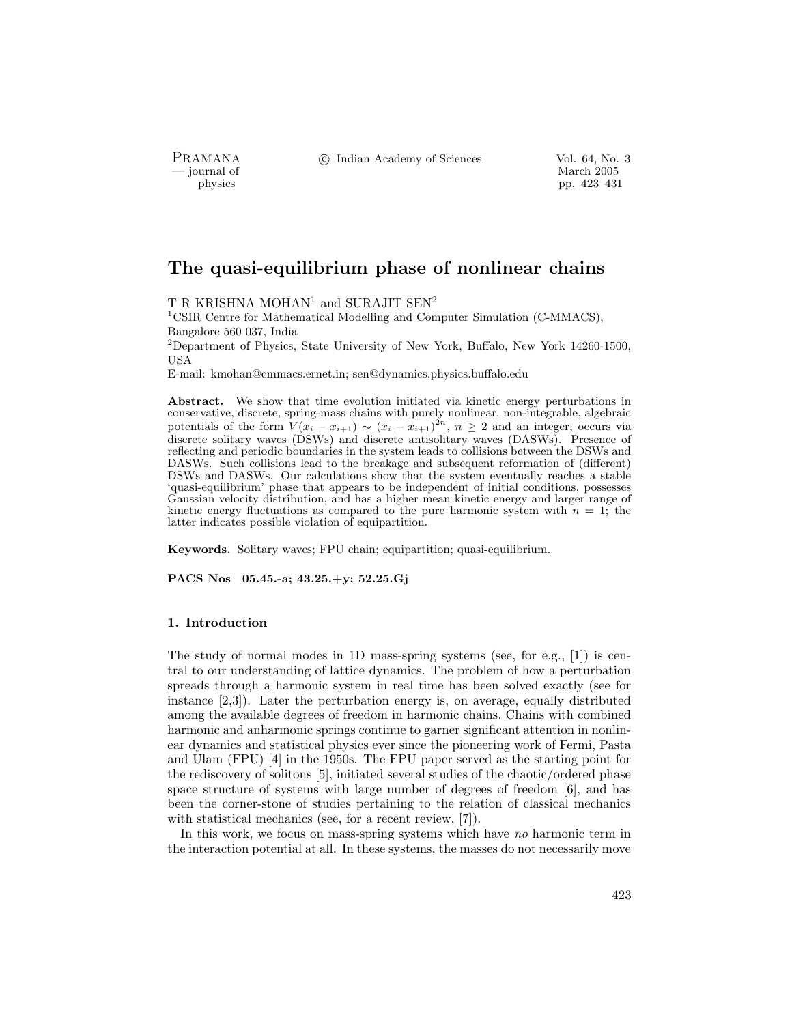PRAMANA °c Indian Academy of Sciences Vol. 64, No. 3

— burnal of March 2005<br>— physics physics property and the March 2005<br>— pp. 423–431 physics pp. 423–431

# The quasi-equilibrium phase of nonlinear chains

T R KRISHNA MOHAN<sup>1</sup> and SURAJIT SEN<sup>2</sup>

<sup>1</sup>CSIR Centre for Mathematical Modelling and Computer Simulation (C-MMACS), Bangalore 560 037, India

<sup>2</sup>Department of Physics, State University of New York, Buffalo, New York 14260-1500, USA

E-mail: kmohan@cmmacs.ernet.in; sen@dynamics.physics.buffalo.edu

Abstract. We show that time evolution initiated via kinetic energy perturbations in conservative, discrete, spring-mass chains with purely nonlinear, non-integrable, algebraic potentials of the form  $V(x_i - x_{i+1}) \sim (x_i - x_{i+1})^{2n}$ ,  $n \geq 2$  and an integer, occurs via discrete solitary waves (DSWs) and discrete antisolitary waves (DASWs). Presence of reflecting and periodic boundaries in the system leads to collisions between the DSWs and DASWs. Such collisions lead to the breakage and subsequent reformation of (different) DSWs and DASWs. Our calculations show that the system eventually reaches a stable 'quasi-equilibrium' phase that appears to be independent of initial conditions, possesses Gaussian velocity distribution, and has a higher mean kinetic energy and larger range of kinetic energy fluctuations as compared to the pure harmonic system with  $n = 1$ ; the latter indicates possible violation of equipartition.

Keywords. Solitary waves; FPU chain; equipartition; quasi-equilibrium.

PACS Nos 05.45.-a; 43.25.+y; 52.25.Gj

# 1. Introduction

The study of normal modes in 1D mass-spring systems (see, for e.g., [1]) is central to our understanding of lattice dynamics. The problem of how a perturbation spreads through a harmonic system in real time has been solved exactly (see for instance [2,3]). Later the perturbation energy is, on average, equally distributed among the available degrees of freedom in harmonic chains. Chains with combined harmonic and anharmonic springs continue to garner significant attention in nonlinear dynamics and statistical physics ever since the pioneering work of Fermi, Pasta and Ulam (FPU) [4] in the 1950s. The FPU paper served as the starting point for the rediscovery of solitons [5], initiated several studies of the chaotic/ordered phase space structure of systems with large number of degrees of freedom [6], and has been the corner-stone of studies pertaining to the relation of classical mechanics with statistical mechanics (see, for a recent review, [7]).

In this work, we focus on mass-spring systems which have no harmonic term in the interaction potential at all. In these systems, the masses do not necessarily move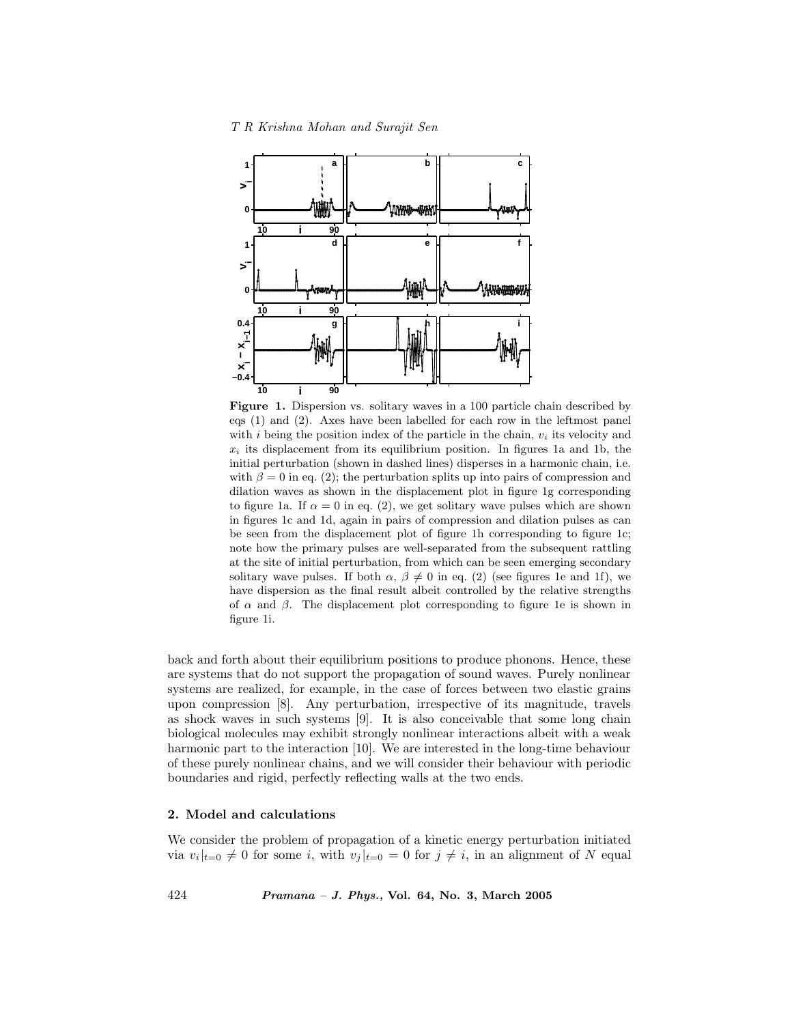

Figure 1. Dispersion vs. solitary waves in a 100 particle chain described by eqs (1) and (2). Axes have been labelled for each row in the leftmost panel with i being the position index of the particle in the chain,  $v_i$  its velocity and  $x_i$  its displacement from its equilibrium position. In figures 1a and 1b, the initial perturbation (shown in dashed lines) disperses in a harmonic chain, i.e. with  $\beta = 0$  in eq. (2); the perturbation splits up into pairs of compression and dilation waves as shown in the displacement plot in figure 1g corresponding to figure 1a. If  $\alpha = 0$  in eq. (2), we get solitary wave pulses which are shown in figures 1c and 1d, again in pairs of compression and dilation pulses as can be seen from the displacement plot of figure 1h corresponding to figure 1c; note how the primary pulses are well-separated from the subsequent rattling at the site of initial perturbation, from which can be seen emerging secondary solitary wave pulses. If both  $\alpha$ ,  $\beta \neq 0$  in eq. (2) (see figures 1e and 1f), we have dispersion as the final result albeit controlled by the relative strengths of  $\alpha$  and  $\beta$ . The displacement plot corresponding to figure 1e is shown in figure 1i.

back and forth about their equilibrium positions to produce phonons. Hence, these are systems that do not support the propagation of sound waves. Purely nonlinear systems are realized, for example, in the case of forces between two elastic grains upon compression [8]. Any perturbation, irrespective of its magnitude, travels as shock waves in such systems [9]. It is also conceivable that some long chain biological molecules may exhibit strongly nonlinear interactions albeit with a weak harmonic part to the interaction [10]. We are interested in the long-time behaviour of these purely nonlinear chains, and we will consider their behaviour with periodic boundaries and rigid, perfectly reflecting walls at the two ends.

# 2. Model and calculations

We consider the problem of propagation of a kinetic energy perturbation initiated via  $v_i |_{t=0} \neq 0$  for some i, with  $v_i |_{t=0} = 0$  for  $j \neq i$ , in an alignment of N equal

 $424$  *Pramana – J. Phys.*, Vol. 64, No. 3, March 2005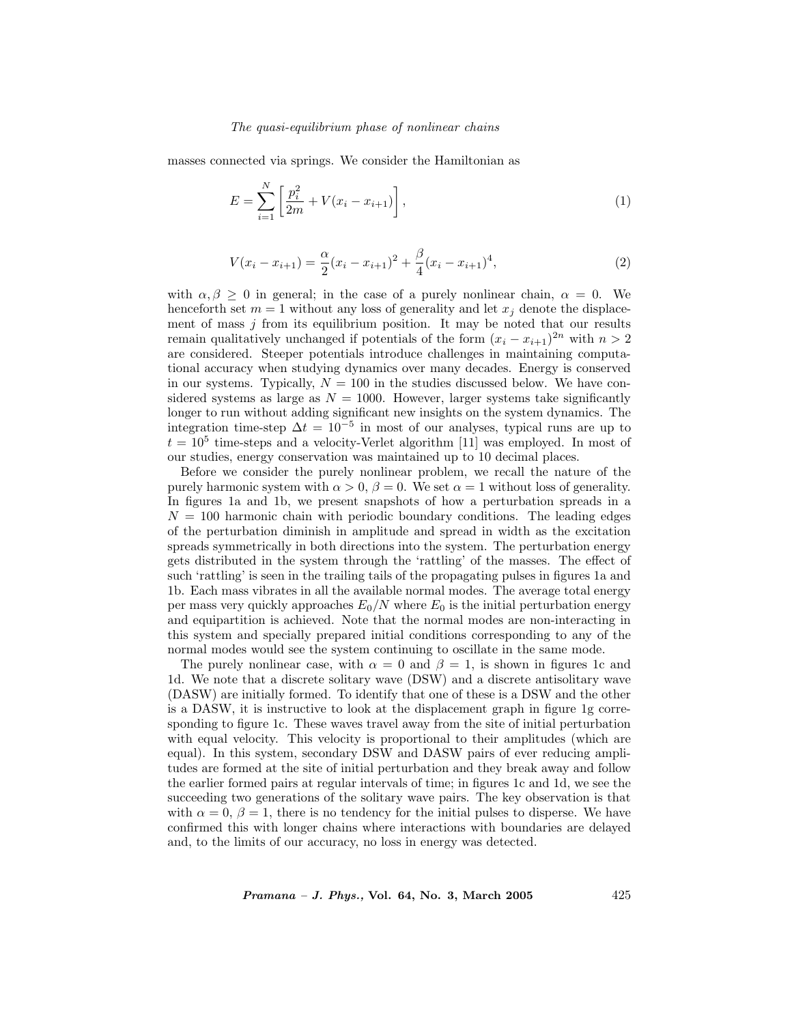#### The quasi-equilibrium phase of nonlinear chains

masses connected via springs. We consider the Hamiltonian as

$$
E = \sum_{i=1}^{N} \left[ \frac{p_i^2}{2m} + V(x_i - x_{i+1}) \right],
$$
\n(1)

$$
V(x_i - x_{i+1}) = \frac{\alpha}{2}(x_i - x_{i+1})^2 + \frac{\beta}{4}(x_i - x_{i+1})^4,
$$
\n(2)

with  $\alpha, \beta \geq 0$  in general; in the case of a purely nonlinear chain,  $\alpha = 0$ . We henceforth set  $m = 1$  without any loss of generality and let  $x_i$  denote the displacement of mass *j* from its equilibrium position. It may be noted that our results remain qualitatively unchanged if potentials of the form  $(x_i - x_{i+1})^{2n}$  with  $n > 2$ are considered. Steeper potentials introduce challenges in maintaining computational accuracy when studying dynamics over many decades. Energy is conserved in our systems. Typically,  $N = 100$  in the studies discussed below. We have considered systems as large as  $N = 1000$ . However, larger systems take significantly longer to run without adding significant new insights on the system dynamics. The integration time-step  $\Delta t = 10^{-5}$  in most of our analyses, typical runs are up to  $t = 10^5$  time-steps and a velocity-Verlet algorithm [11] was employed. In most of our studies, energy conservation was maintained up to 10 decimal places.

Before we consider the purely nonlinear problem, we recall the nature of the purely harmonic system with  $\alpha > 0$ ,  $\beta = 0$ . We set  $\alpha = 1$  without loss of generality. In figures 1a and 1b, we present snapshots of how a perturbation spreads in a  $N = 100$  harmonic chain with periodic boundary conditions. The leading edges of the perturbation diminish in amplitude and spread in width as the excitation spreads symmetrically in both directions into the system. The perturbation energy gets distributed in the system through the 'rattling' of the masses. The effect of such 'rattling' is seen in the trailing tails of the propagating pulses in figures 1a and 1b. Each mass vibrates in all the available normal modes. The average total energy per mass very quickly approaches  $E_0/N$  where  $E_0$  is the initial perturbation energy and equipartition is achieved. Note that the normal modes are non-interacting in this system and specially prepared initial conditions corresponding to any of the normal modes would see the system continuing to oscillate in the same mode.

The purely nonlinear case, with  $\alpha = 0$  and  $\beta = 1$ , is shown in figures 1c and 1d. We note that a discrete solitary wave (DSW) and a discrete antisolitary wave (DASW) are initially formed. To identify that one of these is a DSW and the other is a DASW, it is instructive to look at the displacement graph in figure 1g corresponding to figure 1c. These waves travel away from the site of initial perturbation with equal velocity. This velocity is proportional to their amplitudes (which are equal). In this system, secondary DSW and DASW pairs of ever reducing amplitudes are formed at the site of initial perturbation and they break away and follow the earlier formed pairs at regular intervals of time; in figures 1c and 1d, we see the succeeding two generations of the solitary wave pairs. The key observation is that with  $\alpha = 0$ ,  $\beta = 1$ , there is no tendency for the initial pulses to disperse. We have confirmed this with longer chains where interactions with boundaries are delayed and, to the limits of our accuracy, no loss in energy was detected.

Pramana – J. Phys., Vol. 64, No. 3, March 2005 425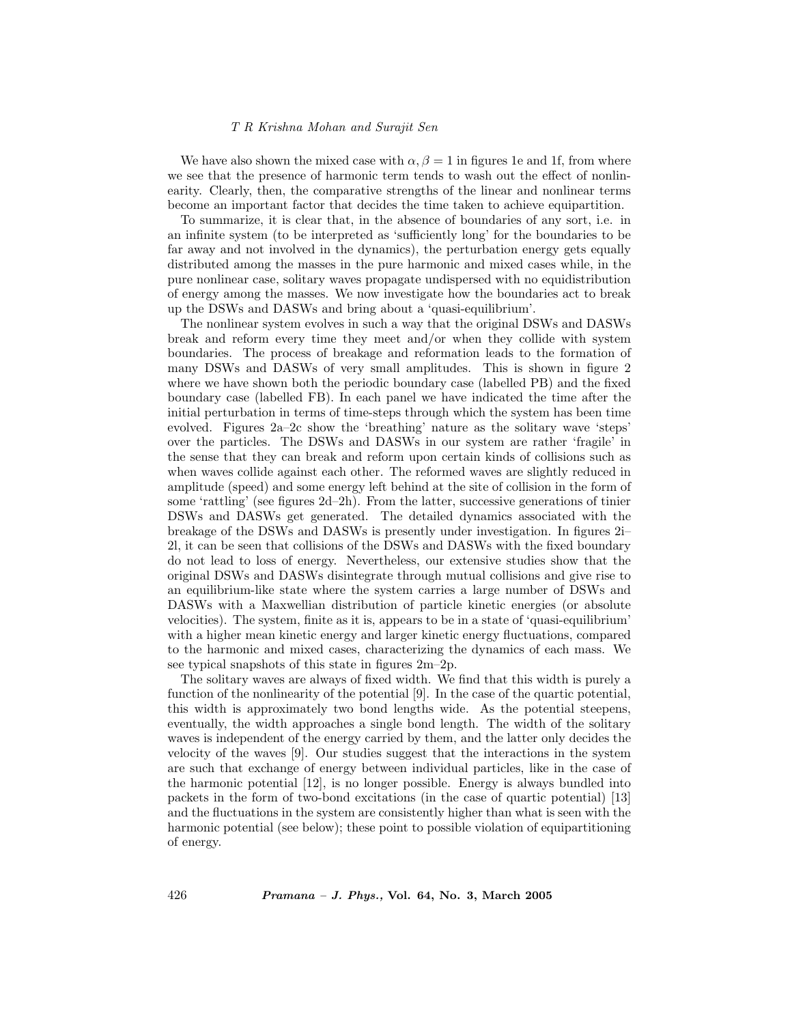We have also shown the mixed case with  $\alpha, \beta = 1$  in figures 1e and 1f, from where we see that the presence of harmonic term tends to wash out the effect of nonlinearity. Clearly, then, the comparative strengths of the linear and nonlinear terms become an important factor that decides the time taken to achieve equipartition.

To summarize, it is clear that, in the absence of boundaries of any sort, i.e. in an infinite system (to be interpreted as 'sufficiently long' for the boundaries to be far away and not involved in the dynamics), the perturbation energy gets equally distributed among the masses in the pure harmonic and mixed cases while, in the pure nonlinear case, solitary waves propagate undispersed with no equidistribution of energy among the masses. We now investigate how the boundaries act to break up the DSWs and DASWs and bring about a 'quasi-equilibrium'.

The nonlinear system evolves in such a way that the original DSWs and DASWs break and reform every time they meet and/or when they collide with system boundaries. The process of breakage and reformation leads to the formation of many DSWs and DASWs of very small amplitudes. This is shown in figure 2 where we have shown both the periodic boundary case (labelled PB) and the fixed boundary case (labelled FB). In each panel we have indicated the time after the initial perturbation in terms of time-steps through which the system has been time evolved. Figures 2a–2c show the 'breathing' nature as the solitary wave 'steps' over the particles. The DSWs and DASWs in our system are rather 'fragile' in the sense that they can break and reform upon certain kinds of collisions such as when waves collide against each other. The reformed waves are slightly reduced in amplitude (speed) and some energy left behind at the site of collision in the form of some 'rattling' (see figures  $2d-2h$ ). From the latter, successive generations of tinier DSWs and DASWs get generated. The detailed dynamics associated with the breakage of the DSWs and DASWs is presently under investigation. In figures 2i– 2l, it can be seen that collisions of the DSWs and DASWs with the fixed boundary do not lead to loss of energy. Nevertheless, our extensive studies show that the original DSWs and DASWs disintegrate through mutual collisions and give rise to an equilibrium-like state where the system carries a large number of DSWs and DASWs with a Maxwellian distribution of particle kinetic energies (or absolute velocities). The system, finite as it is, appears to be in a state of 'quasi-equilibrium' with a higher mean kinetic energy and larger kinetic energy fluctuations, compared to the harmonic and mixed cases, characterizing the dynamics of each mass. We see typical snapshots of this state in figures 2m–2p.

The solitary waves are always of fixed width. We find that this width is purely a function of the nonlinearity of the potential [9]. In the case of the quartic potential, this width is approximately two bond lengths wide. As the potential steepens, eventually, the width approaches a single bond length. The width of the solitary waves is independent of the energy carried by them, and the latter only decides the velocity of the waves [9]. Our studies suggest that the interactions in the system are such that exchange of energy between individual particles, like in the case of the harmonic potential [12], is no longer possible. Energy is always bundled into packets in the form of two-bond excitations (in the case of quartic potential) [13] and the fluctuations in the system are consistently higher than what is seen with the harmonic potential (see below); these point to possible violation of equipartitioning of energy.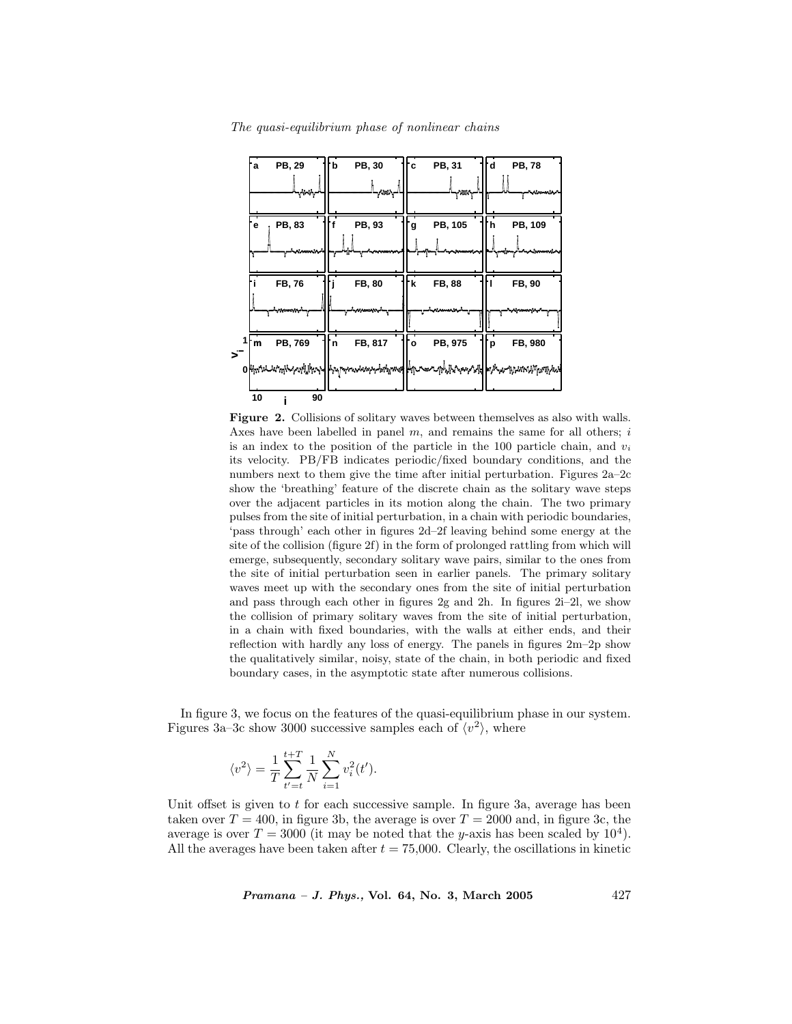| PB, 29<br>a |          | b  | PB, 30                                                                                              | c.        | PB, 31  | d  | <b>PB, 78</b> |
|-------------|----------|----|-----------------------------------------------------------------------------------------------------|-----------|---------|----|---------------|
|             |          |    |                                                                                                     |           |         |    |               |
|             | والجاملة |    | الملطام                                                                                             |           |         |    |               |
| PB, 83<br>e |          |    | PB, 93                                                                                              | g         | PB, 105 | 'n | PB, 109       |
|             |          |    |                                                                                                     |           |         |    |               |
|             |          |    |                                                                                                     |           |         |    |               |
| FB, 76      |          |    | FB, 80                                                                                              | 'k        | FB, 88  |    | FB, 90        |
|             |          |    |                                                                                                     |           |         |    |               |
|             |          |    |                                                                                                     |           |         |    |               |
| m           | PB, 769  | 'n | FB, 817                                                                                             | $\bullet$ | PB, 975 | p  | FB, 980       |
|             |          |    | 0 [http://www.http://www.filipin/4   http://www.marchive.html/www.filipin/www.kilipin/www.html/www. |           |         |    |               |
| 10          | 90       |    |                                                                                                     |           |         |    |               |

The quasi-equilibrium phase of nonlinear chains

Figure 2. Collisions of solitary waves between themselves as also with walls. Axes have been labelled in panel  $m$ , and remains the same for all others; i is an index to the position of the particle in the 100 particle chain, and  $v_i$ its velocity. PB/FB indicates periodic/fixed boundary conditions, and the numbers next to them give the time after initial perturbation. Figures 2a–2c show the 'breathing' feature of the discrete chain as the solitary wave steps over the adjacent particles in its motion along the chain. The two primary pulses from the site of initial perturbation, in a chain with periodic boundaries, 'pass through' each other in figures 2d–2f leaving behind some energy at the site of the collision (figure 2f) in the form of prolonged rattling from which will emerge, subsequently, secondary solitary wave pairs, similar to the ones from the site of initial perturbation seen in earlier panels. The primary solitary waves meet up with the secondary ones from the site of initial perturbation and pass through each other in figures 2g and 2h. In figures 2i–2l, we show the collision of primary solitary waves from the site of initial perturbation, in a chain with fixed boundaries, with the walls at either ends, and their reflection with hardly any loss of energy. The panels in figures 2m–2p show the qualitatively similar, noisy, state of the chain, in both periodic and fixed boundary cases, in the asymptotic state after numerous collisions.

In figure 3, we focus on the features of the quasi-equilibrium phase in our system. Figures 3a–3c show 3000 successive samples each of  $\langle v^2 \rangle$ , where

$$
\langle v^2\rangle=\frac{1}{T}\sum_{t'=t}^{t+T}\frac{1}{N}\sum_{i=1}^N v_i^2(t').
$$

Unit offset is given to  $t$  for each successive sample. In figure 3a, average has been taken over  $T = 400$ , in figure 3b, the average is over  $T = 2000$  and, in figure 3c, the average is over  $T = 3000$  (it may be noted that the y-axis has been scaled by  $10^4$ ). All the averages have been taken after  $t = 75,000$ . Clearly, the oscillations in kinetic

Pramana – J. Phys., Vol. 64, No. 3, March 2005 427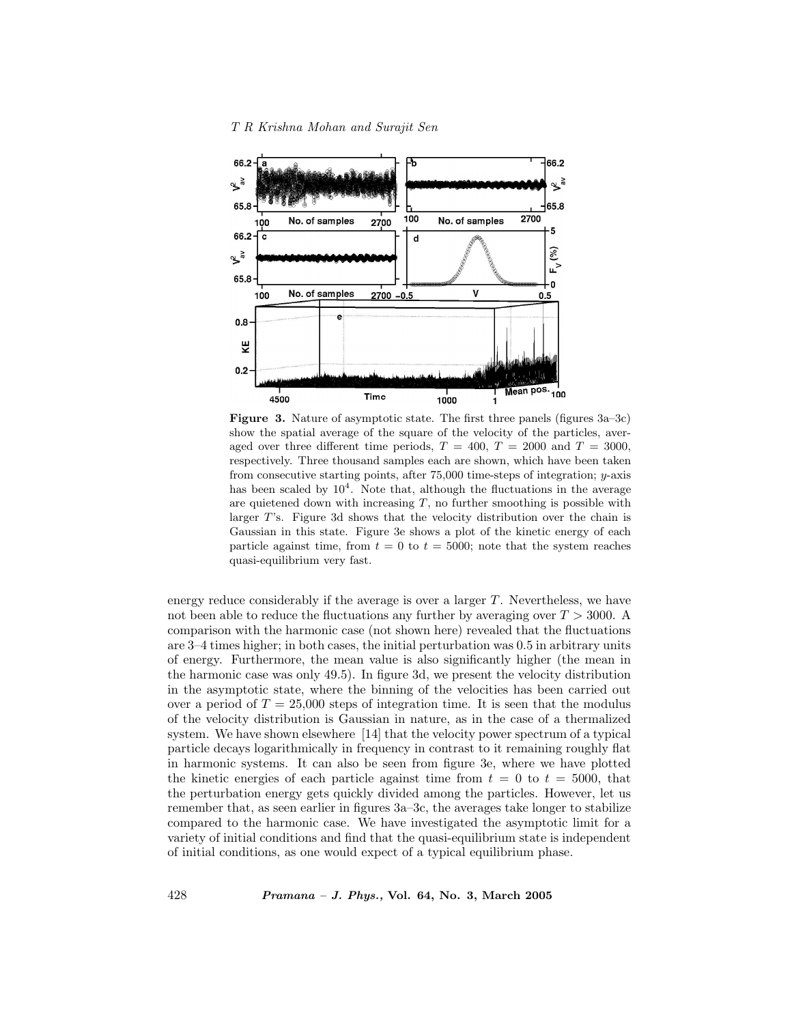

Figure 3. Nature of asymptotic state. The first three panels (figures 3a–3c) show the spatial average of the square of the velocity of the particles, averaged over three different time periods,  $T = 400$ ,  $T = 2000$  and  $T = 3000$ , respectively. Three thousand samples each are shown, which have been taken from consecutive starting points, after 75,000 time-steps of integration; y-axis has been scaled by  $10^4$ . Note that, although the fluctuations in the average are quietened down with increasing  $T$ , no further smoothing is possible with larger T's. Figure 3d shows that the velocity distribution over the chain is Gaussian in this state. Figure 3e shows a plot of the kinetic energy of each particle against time, from  $t = 0$  to  $t = 5000$ ; note that the system reaches quasi-equilibrium very fast.

energy reduce considerably if the average is over a larger  $T$ . Nevertheless, we have not been able to reduce the fluctuations any further by averaging over  $T > 3000$ . A comparison with the harmonic case (not shown here) revealed that the fluctuations are 3–4 times higher; in both cases, the initial perturbation was 0.5 in arbitrary units of energy. Furthermore, the mean value is also significantly higher (the mean in the harmonic case was only 49.5). In figure 3d, we present the velocity distribution in the asymptotic state, where the binning of the velocities has been carried out over a period of  $T = 25{,}000$  steps of integration time. It is seen that the modulus of the velocity distribution is Gaussian in nature, as in the case of a thermalized system. We have shown elsewhere [14] that the velocity power spectrum of a typical particle decays logarithmically in frequency in contrast to it remaining roughly flat in harmonic systems. It can also be seen from figure 3e, where we have plotted the kinetic energies of each particle against time from  $t = 0$  to  $t = 5000$ , that the perturbation energy gets quickly divided among the particles. However, let us remember that, as seen earlier in figures 3a–3c, the averages take longer to stabilize compared to the harmonic case. We have investigated the asymptotic limit for a variety of initial conditions and find that the quasi-equilibrium state is independent of initial conditions, as one would expect of a typical equilibrium phase.

 $428$  *Pramana – J. Phys.*, Vol. 64, No. 3, March 2005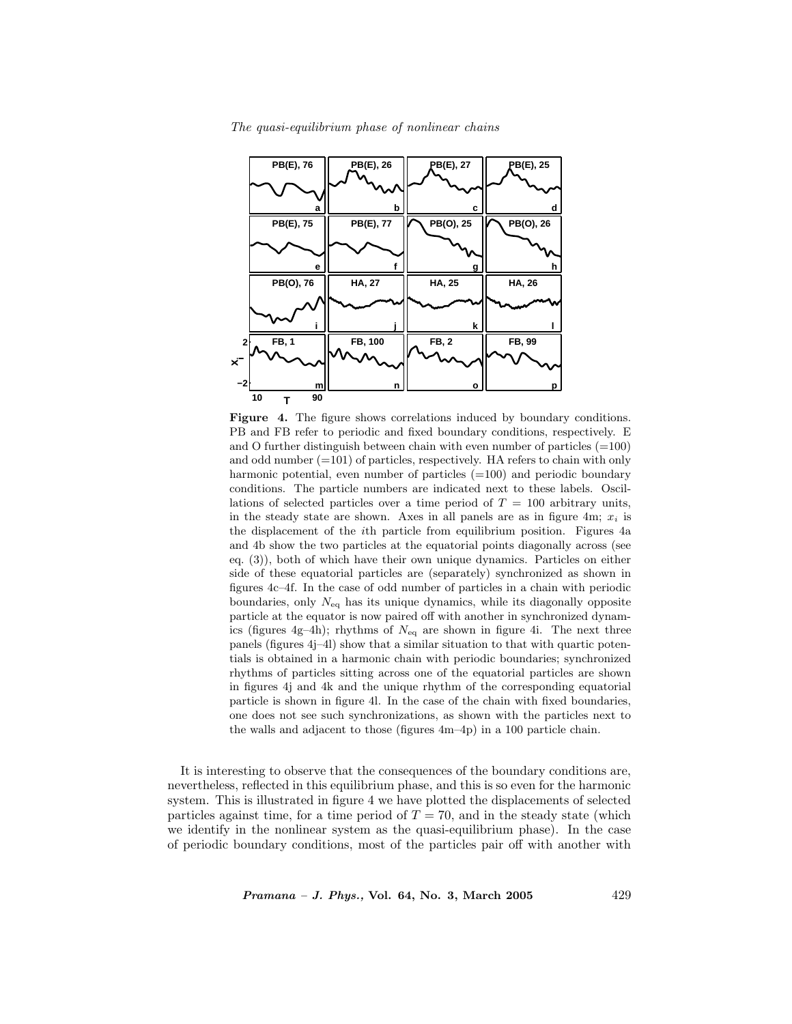

Figure 4. The figure shows correlations induced by boundary conditions. PB and FB refer to periodic and fixed boundary conditions, respectively. E and O further distinguish between chain with even number of particles  $(=100)$ and odd number  $(=101)$  of particles, respectively. HA refers to chain with only harmonic potential, even number of particles  $(=100)$  and periodic boundary conditions. The particle numbers are indicated next to these labels. Oscillations of selected particles over a time period of  $T = 100$  arbitrary units, in the steady state are shown. Axes in all panels are as in figure 4m;  $x_i$  is the displacement of the ith particle from equilibrium position. Figures 4a and 4b show the two particles at the equatorial points diagonally across (see eq. (3)), both of which have their own unique dynamics. Particles on either side of these equatorial particles are (separately) synchronized as shown in figures 4c–4f. In the case of odd number of particles in a chain with periodic boundaries, only  $N_{\text{eq}}$  has its unique dynamics, while its diagonally opposite particle at the equator is now paired off with another in synchronized dynamics (figures 4g–4h); rhythms of  $N_{eq}$  are shown in figure 4i. The next three panels (figures 4j–4l) show that a similar situation to that with quartic potentials is obtained in a harmonic chain with periodic boundaries; synchronized rhythms of particles sitting across one of the equatorial particles are shown in figures 4j and 4k and the unique rhythm of the corresponding equatorial particle is shown in figure 4l. In the case of the chain with fixed boundaries, one does not see such synchronizations, as shown with the particles next to the walls and adjacent to those (figures 4m–4p) in a 100 particle chain.

It is interesting to observe that the consequences of the boundary conditions are, nevertheless, reflected in this equilibrium phase, and this is so even for the harmonic system. This is illustrated in figure 4 we have plotted the displacements of selected particles against time, for a time period of  $T = 70$ , and in the steady state (which we identify in the nonlinear system as the quasi-equilibrium phase). In the case of periodic boundary conditions, most of the particles pair off with another with

 $Pramana - J. Phys., Vol. 64, No. 3, March 2005$  429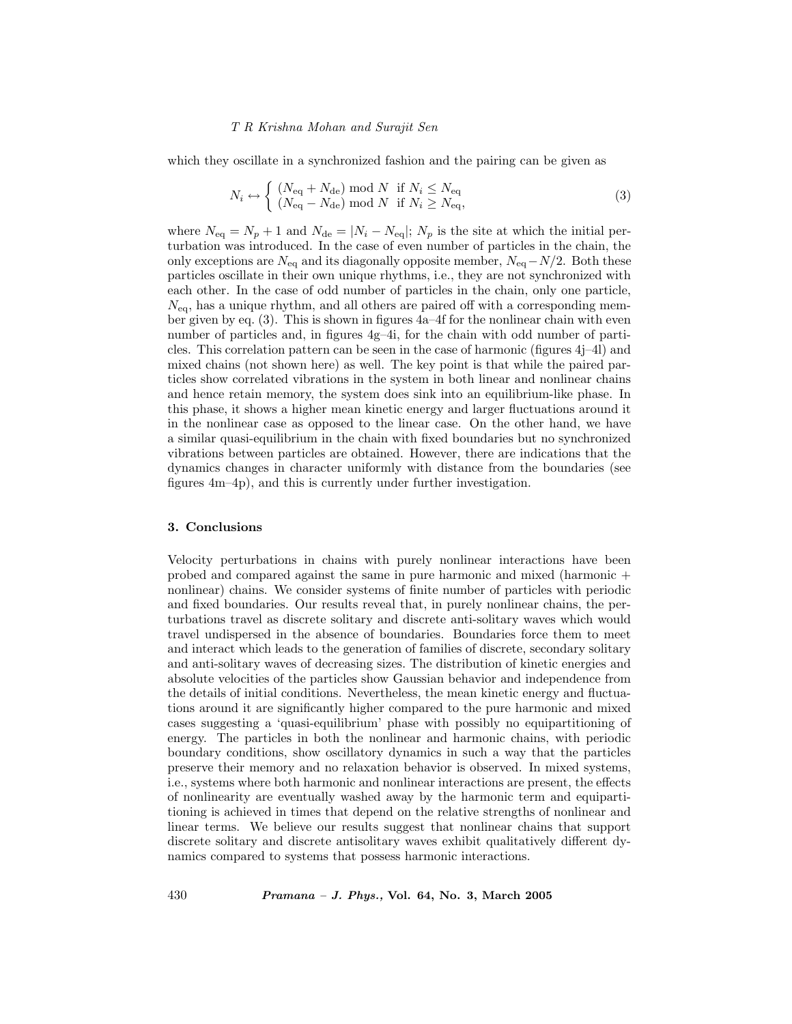which they oscillate in a synchronized fashion and the pairing can be given as

$$
N_i \leftrightarrow \begin{cases} (N_{\text{eq}} + N_{\text{de}}) \bmod N & \text{if } N_i \le N_{\text{eq}} \\ (N_{\text{eq}} - N_{\text{de}}) \bmod N & \text{if } N_i \ge N_{\text{eq}}, \end{cases}
$$
(3)

where  $N_{\text{eq}} = N_p + 1$  and  $N_{\text{de}} = |N_i - N_{\text{eq}}|$ ;  $N_p$  is the site at which the initial perturbation was introduced. In the case of even number of particles in the chain, the only exceptions are  $N_{\text{eq}}$  and its diagonally opposite member,  $N_{\text{eq}}-N/2$ . Both these particles oscillate in their own unique rhythms, i.e., they are not synchronized with each other. In the case of odd number of particles in the chain, only one particle,  $N_{\text{eq}}$ , has a unique rhythm, and all others are paired off with a corresponding member given by eq. (3). This is shown in figures 4a–4f for the nonlinear chain with even number of particles and, in figures 4g–4i, for the chain with odd number of particles. This correlation pattern can be seen in the case of harmonic (figures 4j–4l) and mixed chains (not shown here) as well. The key point is that while the paired particles show correlated vibrations in the system in both linear and nonlinear chains and hence retain memory, the system does sink into an equilibrium-like phase. In this phase, it shows a higher mean kinetic energy and larger fluctuations around it in the nonlinear case as opposed to the linear case. On the other hand, we have a similar quasi-equilibrium in the chain with fixed boundaries but no synchronized vibrations between particles are obtained. However, there are indications that the dynamics changes in character uniformly with distance from the boundaries (see figures 4m–4p), and this is currently under further investigation.

#### 3. Conclusions

Velocity perturbations in chains with purely nonlinear interactions have been probed and compared against the same in pure harmonic and mixed (harmonic + nonlinear) chains. We consider systems of finite number of particles with periodic and fixed boundaries. Our results reveal that, in purely nonlinear chains, the perturbations travel as discrete solitary and discrete anti-solitary waves which would travel undispersed in the absence of boundaries. Boundaries force them to meet and interact which leads to the generation of families of discrete, secondary solitary and anti-solitary waves of decreasing sizes. The distribution of kinetic energies and absolute velocities of the particles show Gaussian behavior and independence from the details of initial conditions. Nevertheless, the mean kinetic energy and fluctuations around it are significantly higher compared to the pure harmonic and mixed cases suggesting a 'quasi-equilibrium' phase with possibly no equipartitioning of energy. The particles in both the nonlinear and harmonic chains, with periodic boundary conditions, show oscillatory dynamics in such a way that the particles preserve their memory and no relaxation behavior is observed. In mixed systems, i.e., systems where both harmonic and nonlinear interactions are present, the effects of nonlinearity are eventually washed away by the harmonic term and equipartitioning is achieved in times that depend on the relative strengths of nonlinear and linear terms. We believe our results suggest that nonlinear chains that support discrete solitary and discrete antisolitary waves exhibit qualitatively different dynamics compared to systems that possess harmonic interactions.

 $430$  Pramana – J. Phys., Vol. 64, No. 3, March 2005